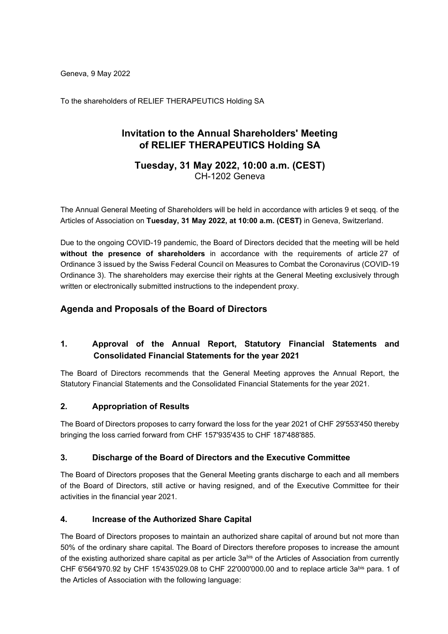Geneva, 9 May 2022

To the shareholders of RELIEF THERAPEUTICS Holding SA

# **Invitation to the Annual Shareholders' Meeting of RELIEF THERAPEUTICS Holding SA**

### **Tuesday, 31 May 2022, 10:00 a.m. (CEST)** CH-1202 Geneva

The Annual General Meeting of Shareholders will be held in accordance with articles 9 et seqq. of the Articles of Association on **Tuesday, 31 May 2022, at 10:00 a.m. (CEST)** in Geneva, Switzerland.

Due to the ongoing COVID-19 pandemic, the Board of Directors decided that the meeting will be held **without the presence of shareholders** in accordance with the requirements of article 27 of Ordinance 3 issued by the Swiss Federal Council on Measures to Combat the Coronavirus (COVID-19 Ordinance 3). The shareholders may exercise their rights at the General Meeting exclusively through written or electronically submitted instructions to the independent proxy.

## **Agenda and Proposals of the Board of Directors**

## **1. Approval of the Annual Report, Statutory Financial Statements and Consolidated Financial Statements for the year 2021**

The Board of Directors recommends that the General Meeting approves the Annual Report, the Statutory Financial Statements and the Consolidated Financial Statements for the year 2021.

### **2. Appropriation of Results**

The Board of Directors proposes to carry forward the loss for the year 2021 of CHF 29'553'450 thereby bringing the loss carried forward from CHF 157'935'435 to CHF 187'488'885.

### **3. Discharge of the Board of Directors and the Executive Committee**

The Board of Directors proposes that the General Meeting grants discharge to each and all members of the Board of Directors, still active or having resigned, and of the Executive Committee for their activities in the financial year 2021.

### **4. Increase of the Authorized Share Capital**

The Board of Directors proposes to maintain an authorized share capital of around but not more than 50% of the ordinary share capital. The Board of Directors therefore proposes to increase the amount of the existing authorized share capital as per article 3abis of the Articles of Association from currently CHF 6'564'970.92 by CHF 15'435'029.08 to CHF 22'000'000.00 and to replace article 3abis para. 1 of the Articles of Association with the following language: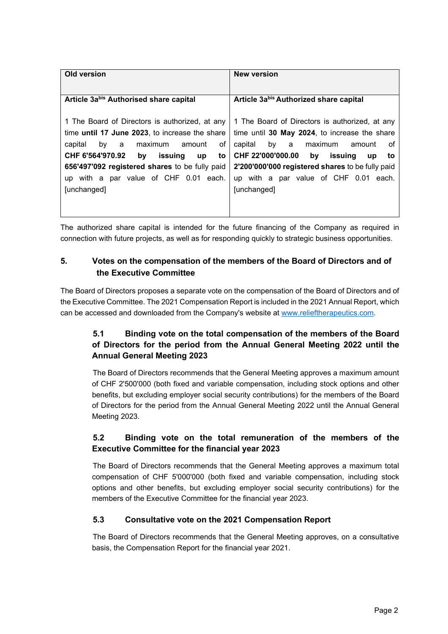| Old version                                            | <b>New version</b>                                    |
|--------------------------------------------------------|-------------------------------------------------------|
|                                                        |                                                       |
| Article 3abis Authorised share capital                 | Article 3abis Authorized share capital                |
|                                                        |                                                       |
| 1 The Board of Directors is authorized, at any         | 1 The Board of Directors is authorized, at any        |
| time <b>until 17 June 2023</b> , to increase the share | time until 30 May 2024, to increase the share         |
| οf<br>capital<br>maximum amount<br>by<br>a             | by a<br>capital<br>maximum<br>amount<br>ot            |
| CHF 6'564'970.92<br>issuing<br>bv<br>up<br>to          | CHF 22'000'000.00<br>by<br>issuing<br><b>up</b><br>to |
| 656'497'092 registered shares to be fully paid         | 2'200'000'000 registered shares to be fully paid      |
| up with a par value of CHF 0.01 each.                  | up with a par value of CHF 0.01<br>each.              |
| [unchanged]                                            | [unchanged]                                           |
|                                                        |                                                       |
|                                                        |                                                       |

The authorized share capital is intended for the future financing of the Company as required in connection with future projects, as well as for responding quickly to strategic business opportunities.

## **5. Votes on the compensation of the members of the Board of Directors and of the Executive Committee**

The Board of Directors proposes a separate vote on the compensation of the Board of Directors and of the Executive Committee. The 2021 Compensation Report is included in the 2021 Annual Report, which can be accessed and downloaded from the Company's website at [www.relieftherapeutics.com.](http://www.relieftherapeutics.com/)

## **5.1 Binding vote on the total compensation of the members of the Board of Directors for the period from the Annual General Meeting 2022 until the Annual General Meeting 2023**

The Board of Directors recommends that the General Meeting approves a maximum amount of CHF 2'500'000 (both fixed and variable compensation, including stock options and other benefits, but excluding employer social security contributions) for the members of the Board of Directors for the period from the Annual General Meeting 2022 until the Annual General Meeting 2023.

## **5.2 Binding vote on the total remuneration of the members of the Executive Committee for the financial year 2023**

The Board of Directors recommends that the General Meeting approves a maximum total compensation of CHF 5'000'000 (both fixed and variable compensation, including stock options and other benefits, but excluding employer social security contributions) for the members of the Executive Committee for the financial year 2023.

### **5.3 Consultative vote on the 2021 Compensation Report**

The Board of Directors recommends that the General Meeting approves, on a consultative basis, the Compensation Report for the financial year 2021.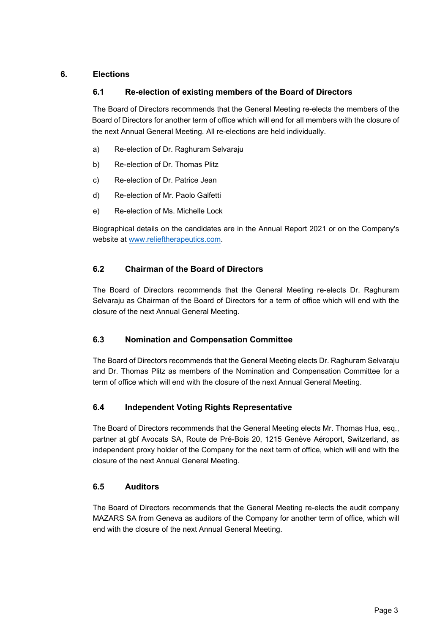### **6. Elections**

### **6.1 Re-election of existing members of the Board of Directors**

The Board of Directors recommends that the General Meeting re-elects the members of the Board of Directors for another term of office which will end for all members with the closure of the next Annual General Meeting. All re-elections are held individually.

- a) Re-election of Dr. Raghuram Selvaraju
- b) Re-election of Dr. Thomas Plitz
- c) Re-election of Dr. Patrice Jean
- d) Re-election of Mr. Paolo Galfetti
- e) Re-election of Ms. Michelle Lock

Biographical details on the candidates are in the Annual Report 2021 or on the Company's website at [www.relieftherapeutics.com.](http://www.relieftherapeutics.com/)

### **6.2 Chairman of the Board of Directors**

The Board of Directors recommends that the General Meeting re-elects Dr. Raghuram Selvaraju as Chairman of the Board of Directors for a term of office which will end with the closure of the next Annual General Meeting.

### **6.3 Nomination and Compensation Committee**

The Board of Directors recommends that the General Meeting elects Dr. Raghuram Selvaraju and Dr. Thomas Plitz as members of the Nomination and Compensation Committee for a term of office which will end with the closure of the next Annual General Meeting.

### **6.4 Independent Voting Rights Representative**

The Board of Directors recommends that the General Meeting elects Mr. Thomas Hua, esq., partner at gbf Avocats SA, Route de Pré-Bois 20, 1215 Genève Aéroport, Switzerland, as independent proxy holder of the Company for the next term of office, which will end with the closure of the next Annual General Meeting.

### **6.5 Auditors**

The Board of Directors recommends that the General Meeting re-elects the audit company MAZARS SA from Geneva as auditors of the Company for another term of office, which will end with the closure of the next Annual General Meeting.